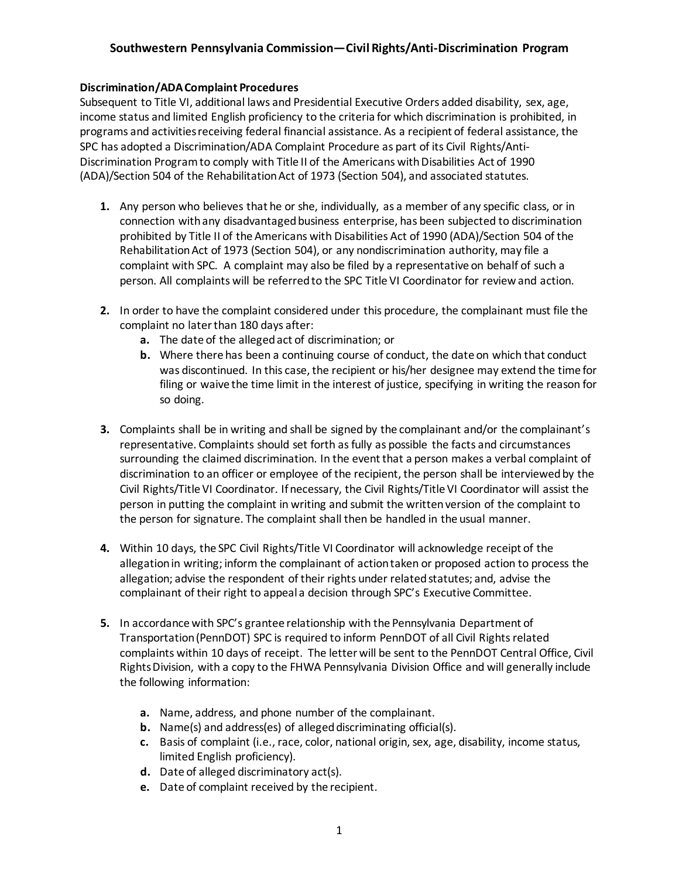### **Discrimination/ADA Complaint Procedures**

Subsequent to Title VI, additional laws and Presidential Executive Orders added disability, sex, age, income status and limited English proficiency to the criteria for which discrimination is prohibited, in programs and activities receiving federal financial assistance. As a recipient of federal assistance, the SPC has adopted a Discrimination/ADA Complaint Procedure as part of its Civil Rights/Anti-Discrimination Program to comply with Title II of the Americans with Disabilities Act of 1990 (ADA)/Section 504 of the Rehabilitation Act of 1973 (Section 504), and associated statutes.

- **1.** Any person who believes that he or she, individually, as a member of any specific class, or in connection with any disadvantaged business enterprise, has been subjected to discrimination prohibited by Title II of the Americans with Disabilities Act of 1990 (ADA)/Section 504 of the Rehabilitation Act of 1973 (Section 504), or any nondiscrimination authority, may file a complaint with SPC. A complaint may also be filed by a representative on behalf of such a person. All complaints will be referred to the SPC Title VI Coordinator for review and action.
- **2.** In order to have the complaint considered under this procedure, the complainant must file the complaint no later than 180 days after:
	- **a.** The date of the alleged act of discrimination; or
	- **b.** Where there has been a continuing course of conduct, the date on which that conduct was discontinued. In this case, the recipient or his/her designee may extend the time for filing or waive the time limit in the interest of justice, specifying in writing the reason for so doing.
- **3.** Complaints shall be in writing and shall be signed by the complainant and/or the complainant's representative. Complaints should set forth as fully as possible the facts and circumstances surrounding the claimed discrimination. In the event that a person makes a verbal complaint of discrimination to an officer or employee of the recipient, the person shall be interviewed by the Civil Rights/Title VI Coordinator. If necessary, the Civil Rights/Title VI Coordinator will assist the person in putting the complaint in writing and submit the written version of the complaint to the person for signature. The complaint shall then be handled in the usual manner.
- **4.** Within 10 days, the SPC Civil Rights/Title VI Coordinator will acknowledge receipt of the allegation in writing; inform the complainant of action taken or proposed action to process the allegation; advise the respondent of their rights under related statutes; and, advise the complainant of their right to appeal a decision through SPC's Executive Committee.
- **5.** In accordance with SPC's grantee relationship with the Pennsylvania Department of Transportation (PennDOT) SPC is required to inform PennDOT of all Civil Rights related complaints within 10 days of receipt. The letter will be sent to the PennDOT Central Office, Civil Rights Division, with a copy to the FHWA Pennsylvania Division Office and will generally include the following information:
	- **a.** Name, address, and phone number of the complainant.
	- **b.** Name(s) and address(es) of alleged discriminating official(s).
	- **c.** Basis of complaint (i.e., race, color, national origin, sex, age, disability, income status, limited English proficiency).
	- **d.** Date of alleged discriminatory act(s).
	- **e.** Date of complaint received by the recipient.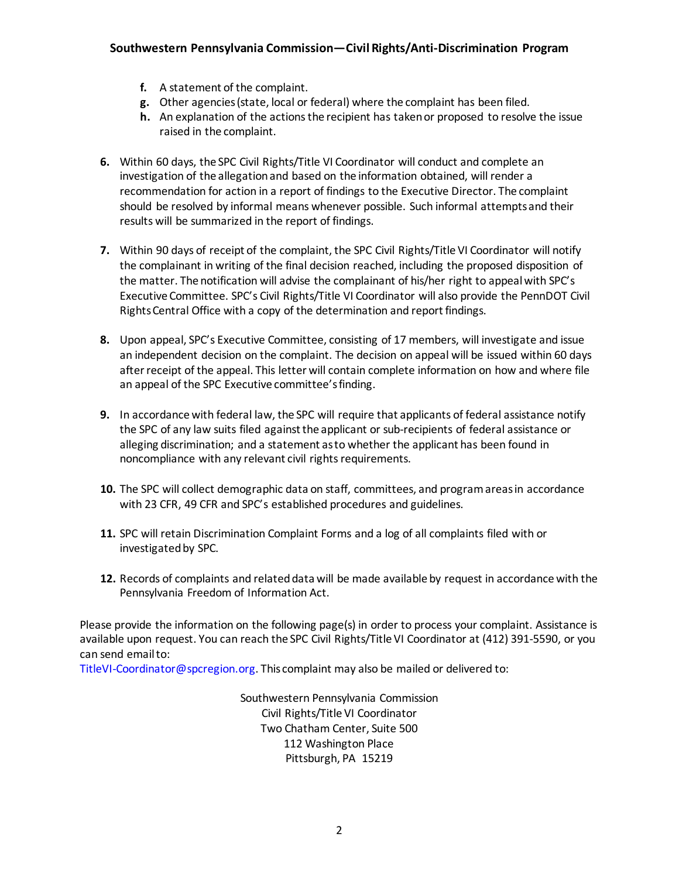- **f.** A statement of the complaint.
- **g.** Other agencies (state, local or federal) where the complaint has been filed.
- **h.** An explanation of the actions the recipient has taken or proposed to resolve the issue raised in the complaint.
- **6.** Within 60 days, the SPC Civil Rights/Title VI Coordinator will conduct and complete an investigation of the allegation and based on the information obtained, will render a recommendation for action in a report of findings to the Executive Director. The complaint should be resolved by informal means whenever possible. Such informal attempts and their results will be summarized in the report of findings.
- **7.** Within 90 days of receipt of the complaint, the SPC Civil Rights/Title VI Coordinator will notify the complainant in writing of the final decision reached, including the proposed disposition of the matter. The notification will advise the complainant of his/her right to appeal with SPC's Executive Committee. SPC's Civil Rights/Title VI Coordinator will also provide the PennDOT Civil Rights Central Office with a copy of the determination and report findings.
- **8.** Upon appeal, SPC's Executive Committee, consisting of 17 members, will investigate and issue an independent decision on the complaint. The decision on appeal will be issued within 60 days after receipt of the appeal. This letter will contain complete information on how and where file an appeal of the SPC Executive committee's finding.
- **9.** In accordance with federal law, the SPC will require that applicants of federal assistance notify the SPC of any law suits filed against the applicant or sub-recipients of federal assistance or alleging discrimination; and a statement as to whether the applicant has been found in noncompliance with any relevant civil rights requirements.
- **10.** The SPC will collect demographic data on staff, committees, and program areas in accordance with 23 CFR, 49 CFR and SPC's established procedures and guidelines.
- **11.** SPC will retain Discrimination Complaint Forms and a log of all complaints filed with or investigated by SPC.
- **12.** Records of complaints and related data will be made available by request in accordance with the Pennsylvania Freedom of Information Act.

Please provide the information on the following page(s) in order to process your complaint. Assistance is available upon request. You can reach the SPC Civil Rights/Title VI Coordinator at (412) 391-5590, or you can send email to:

TitleVI-Coordinator@spcregion.org. This complaint may also be mailed or delivered to:

Southwestern Pennsylvania Commission Civil Rights/Title VI Coordinator Two Chatham Center, Suite 500 112 Washington Place Pittsburgh, PA 15219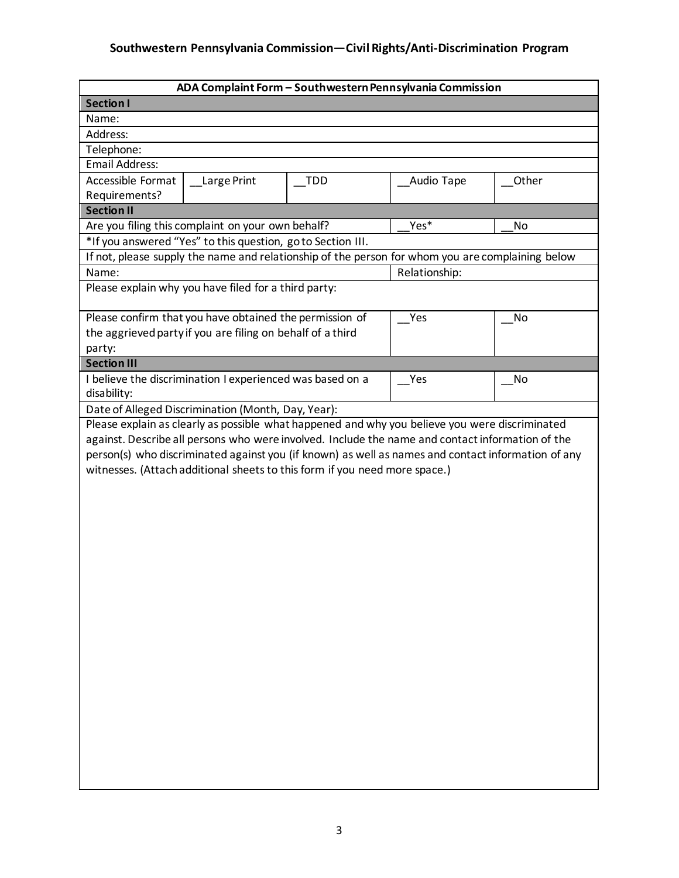| ADA Complaint Form - Southwestern Pennsylvania Commission                                                                                                                                                                                                                                                                                                                              |               |           |  |  |
|----------------------------------------------------------------------------------------------------------------------------------------------------------------------------------------------------------------------------------------------------------------------------------------------------------------------------------------------------------------------------------------|---------------|-----------|--|--|
| <b>Section I</b>                                                                                                                                                                                                                                                                                                                                                                       |               |           |  |  |
| Name:                                                                                                                                                                                                                                                                                                                                                                                  |               |           |  |  |
| Address:                                                                                                                                                                                                                                                                                                                                                                               |               |           |  |  |
| Telephone:                                                                                                                                                                                                                                                                                                                                                                             |               |           |  |  |
| <b>Email Address:</b>                                                                                                                                                                                                                                                                                                                                                                  |               |           |  |  |
| Accessible Format<br>Large Print<br><b>TDD</b>                                                                                                                                                                                                                                                                                                                                         | Audio Tape    | Other     |  |  |
| Requirements?                                                                                                                                                                                                                                                                                                                                                                          |               |           |  |  |
| <b>Section II</b>                                                                                                                                                                                                                                                                                                                                                                      |               |           |  |  |
| Are you filing this complaint on your own behalf?                                                                                                                                                                                                                                                                                                                                      | Yes*          | <b>No</b> |  |  |
| *If you answered "Yes" to this question, go to Section III.                                                                                                                                                                                                                                                                                                                            |               |           |  |  |
| If not, please supply the name and relationship of the person for whom you are complaining below                                                                                                                                                                                                                                                                                       |               |           |  |  |
| Name:                                                                                                                                                                                                                                                                                                                                                                                  | Relationship: |           |  |  |
| Please explain why you have filed for a third party:                                                                                                                                                                                                                                                                                                                                   |               |           |  |  |
| Please confirm that you have obtained the permission of                                                                                                                                                                                                                                                                                                                                | Yes           | No        |  |  |
| the aggrieved party if you are filing on behalf of a third                                                                                                                                                                                                                                                                                                                             |               |           |  |  |
| party:                                                                                                                                                                                                                                                                                                                                                                                 |               |           |  |  |
| <b>Section III</b>                                                                                                                                                                                                                                                                                                                                                                     |               |           |  |  |
| I believe the discrimination I experienced was based on a                                                                                                                                                                                                                                                                                                                              | Yes           | No        |  |  |
| disability:                                                                                                                                                                                                                                                                                                                                                                            |               |           |  |  |
| Date of Alleged Discrimination (Month, Day, Year):                                                                                                                                                                                                                                                                                                                                     |               |           |  |  |
| Please explain as clearly as possible what happened and why you believe you were discriminated<br>against. Describe all persons who were involved. Include the name and contact information of the<br>person(s) who discriminated against you (if known) as well as names and contact information of any<br>witnesses. (Attach additional sheets to this form if you need more space.) |               |           |  |  |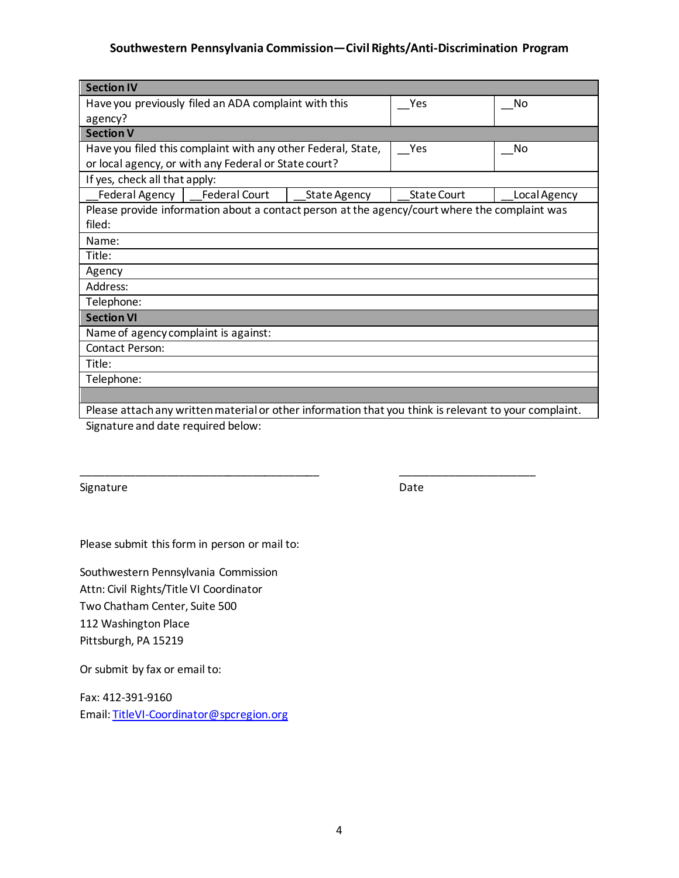| <b>Section IV</b>                                                                                     |                    |              |  |  |
|-------------------------------------------------------------------------------------------------------|--------------------|--------------|--|--|
| Have you previously filed an ADA complaint with this                                                  | Yes                | No           |  |  |
| agency?                                                                                               |                    |              |  |  |
| <b>Section V</b>                                                                                      |                    |              |  |  |
| Have you filed this complaint with any other Federal, State,                                          | Yes                | No           |  |  |
| or local agency, or with any Federal or State court?                                                  |                    |              |  |  |
| If yes, check all that apply:                                                                         |                    |              |  |  |
| Federal Agency   Federal Court<br><b>State Agency</b>                                                 | <b>State Court</b> | Local Agency |  |  |
| Please provide information about a contact person at the agency/court where the complaint was         |                    |              |  |  |
| filed:                                                                                                |                    |              |  |  |
| Name:                                                                                                 |                    |              |  |  |
| Title:                                                                                                |                    |              |  |  |
| Agency                                                                                                |                    |              |  |  |
| Address:                                                                                              |                    |              |  |  |
| Telephone:                                                                                            |                    |              |  |  |
| <b>Section VI</b>                                                                                     |                    |              |  |  |
| Name of agency complaint is against:                                                                  |                    |              |  |  |
| Contact Person:                                                                                       |                    |              |  |  |
| Title:                                                                                                |                    |              |  |  |
| Telephone:                                                                                            |                    |              |  |  |
|                                                                                                       |                    |              |  |  |
| Please attach any written material or other information that you think is relevant to your complaint. |                    |              |  |  |

\_\_\_\_\_\_\_\_\_\_\_\_\_\_\_\_\_\_\_\_\_\_\_\_\_\_\_\_\_\_\_\_\_\_\_\_\_\_\_ \_\_\_\_\_\_\_\_\_\_\_\_\_\_\_\_\_\_\_\_\_\_

Signature and date required below:

Signature Date Date

Please submit this form in person or mail to:

Southwestern Pennsylvania Commission Attn: Civil Rights/Title VI Coordinator Two Chatham Center, Suite 500 112 Washington Place Pittsburgh, PA 15219

Or submit by fax or email to:

Fax: 412-391-9160 Email: [TitleVI-Coordinator@spcregion.org](mailto:TitleVI-Coordinator@spcregion.org)